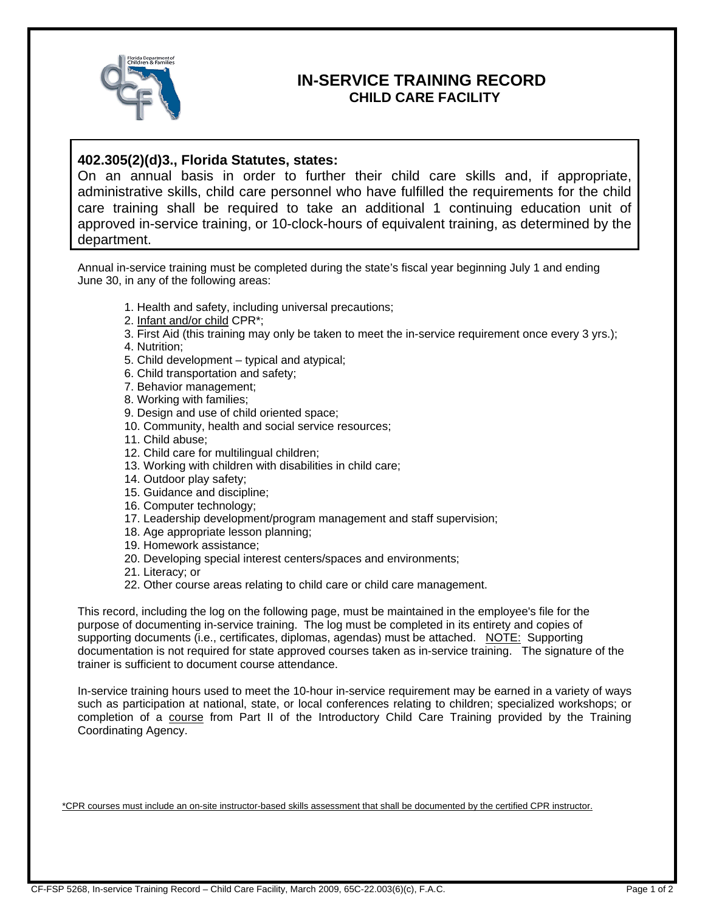

## **IN-SERVICE TRAINING RECORD CHILD CARE FACILITY**

## **402.305(2)(d)3., Florida Statutes, states:**

On an annual basis in order to further their child care skills and, if appropriate, administrative skills, child care personnel who have fulfilled the requirements for the child care training shall be required to take an additional 1 continuing education unit of approved in-service training, or 10-clock-hours of equivalent training, as determined by the department.

Annual in-service training must be completed during the state's fiscal year beginning July 1 and ending June 30, in any of the following areas:

- 1. Health and safety, including universal precautions;
- 2. Infant and/or child CPR\*;
- 3. First Aid (this training may only be taken to meet the in-service requirement once every 3 yrs.);
- 4. Nutrition;
- 5. Child development typical and atypical;
- 6. Child transportation and safety;
- 7. Behavior management;
- 8. Working with families;
- 9. Design and use of child oriented space;
- 10. Community, health and social service resources;
- 11. Child abuse;
- 12. Child care for multilingual children;
- 13. Working with children with disabilities in child care;
- 14. Outdoor play safety;
- 15. Guidance and discipline;
- 16. Computer technology;
- 17. Leadership development/program management and staff supervision;
- 18. Age appropriate lesson planning;
- 19. Homework assistance;
- 20. Developing special interest centers/spaces and environments;
- 21. Literacy; or
- 22. Other course areas relating to child care or child care management.

This record, including the log on the following page, must be maintained in the employee's file for the purpose of documenting in-service training. The log must be completed in its entirety and copies of supporting documents (i.e., certificates, diplomas, agendas) must be attached. NOTE: Supporting documentation is not required for state approved courses taken as in-service training. The signature of the trainer is sufficient to document course attendance.

In-service training hours used to meet the 10-hour in-service requirement may be earned in a variety of ways such as participation at national, state, or local conferences relating to children; specialized workshops; or completion of a course from Part II of the Introductory Child Care Training provided by the Training Coordinating Agency.

\*CPR courses must include an on-site instructor-based skills assessment that shall be documented by the certified CPR instructor.